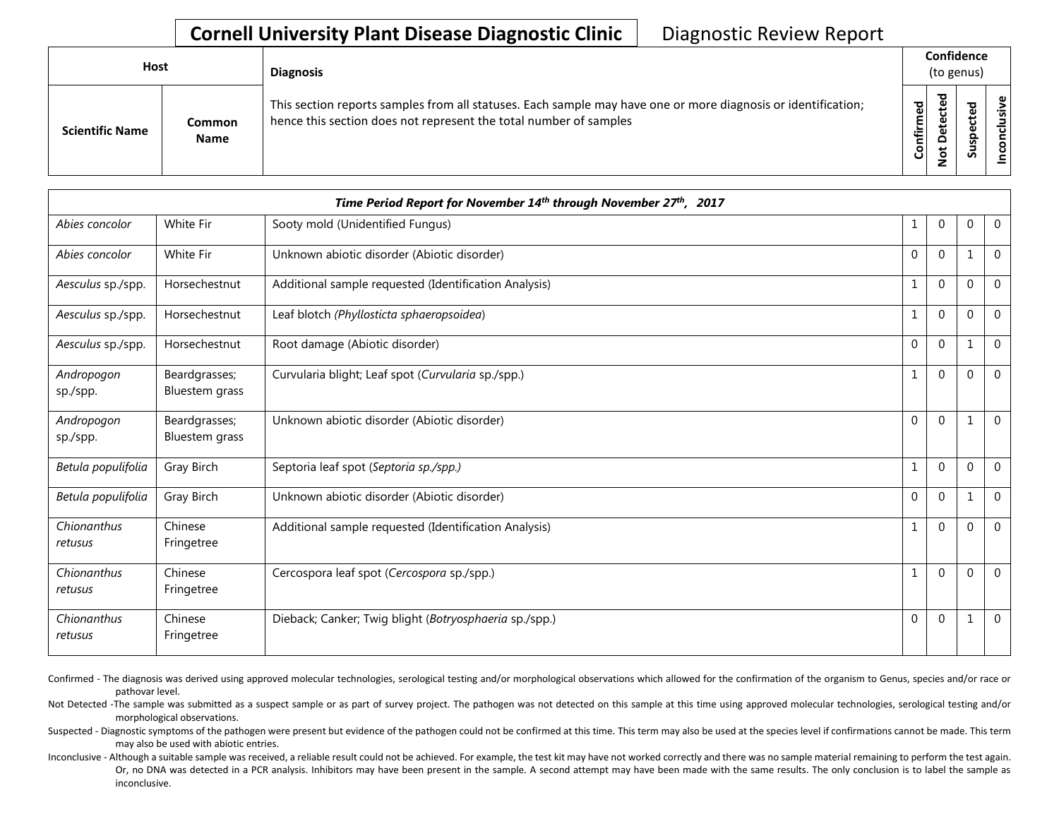## **Cornell University Plant Disease Diagnostic Clinic** | Diagnostic Review Report

| <b>Host</b>            |                       | <b>Diagnosis</b>                                                                                                                                                                   |           | Confidence<br>(to genus) |        |                      |  |
|------------------------|-----------------------|------------------------------------------------------------------------------------------------------------------------------------------------------------------------------------|-----------|--------------------------|--------|----------------------|--|
| <b>Scientific Name</b> | Common<br><b>Name</b> | This section reports samples from all statuses. Each sample may have one or more diagnosis or identification;<br>hence this section does not represent the total number of samples | Confirmed | ᇃ<br>≏<br>سە             | š<br>n | usive<br>ಕ<br>⊂<br>g |  |

|                        |                                 | Time Period Report for November 14th through November 27th, 2017 |              |                |              |                |
|------------------------|---------------------------------|------------------------------------------------------------------|--------------|----------------|--------------|----------------|
| Abies concolor         | White Fir                       | Sooty mold (Unidentified Fungus)                                 | 1            | 0              | $\mathbf{0}$ | $\overline{0}$ |
| Abies concolor         | White Fir                       | Unknown abiotic disorder (Abiotic disorder)                      | $\Omega$     | 0              | 1            | $\mathbf 0$    |
| Aesculus sp./spp.      | Horsechestnut                   | Additional sample requested (Identification Analysis)            | $\mathbf{1}$ | $\Omega$       | $\Omega$     | $\mathbf 0$    |
| Aesculus sp./spp.      | Horsechestnut                   | Leaf blotch (Phyllosticta sphaeropsoidea)                        |              | $\Omega$       | $\Omega$     | $\overline{0}$ |
| Aesculus sp./spp.      | Horsechestnut                   | Root damage (Abiotic disorder)                                   | $\Omega$     | $\Omega$       | 1            | $\Omega$       |
| Andropogon<br>sp./spp. | Beardgrasses;<br>Bluestem grass | Curvularia blight; Leaf spot (Curvularia sp./spp.)               | 1            | $\Omega$       | 0            | $\mathbf 0$    |
| Andropogon<br>sp./spp. | Beardgrasses;<br>Bluestem grass | Unknown abiotic disorder (Abiotic disorder)                      | $\Omega$     | $\Omega$       | -1           | $\mathbf 0$    |
| Betula populifolia     | Gray Birch                      | Septoria leaf spot (Septoria sp./spp.)                           |              | $\Omega$       | 0            | $\Omega$       |
| Betula populifolia     | Gray Birch                      | Unknown abiotic disorder (Abiotic disorder)                      | $\mathbf{0}$ | $\overline{0}$ | $\mathbf{1}$ | $\mathbf 0$    |
| Chionanthus<br>retusus | Chinese<br>Fringetree           | Additional sample requested (Identification Analysis)            |              | $\Omega$       | $\Omega$     | $\overline{0}$ |
| Chionanthus<br>retusus | Chinese<br>Fringetree           | Cercospora leaf spot (Cercospora sp./spp.)                       | $\mathbf{1}$ | $\Omega$       | 0            | $\Omega$       |
| Chionanthus<br>retusus | Chinese<br>Fringetree           | Dieback; Canker; Twig blight (Botryosphaeria sp./spp.)           | $\mathbf{0}$ | 0              | 1            | $\mathbf 0$    |

Confirmed - The diagnosis was derived using approved molecular technologies, serological testing and/or morphological observations which allowed for the confirmation of the organism to Genus, species and/or race or pathovar level.

Not Detected -The sample was submitted as a suspect sample or as part of survey project. The pathogen was not detected on this sample at this time using approved molecular technologies, serological testing and/or morphological observations.

Suspected - Diagnostic symptoms of the pathogen were present but evidence of the pathogen could not be confirmed at this time. This term may also be used at the species level if confirmations cannot be made. This term may also be used with abiotic entries.

Inconclusive - Although a suitable sample was received, a reliable result could not be achieved. For example, the test kit may have not worked correctly and there was no sample material remaining to perform the test again. Or, no DNA was detected in a PCR analysis. Inhibitors may have been present in the sample. A second attempt may have been made with the same results. The only conclusion is to label the sample as inconclusive.